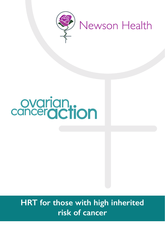

# ovarian.<br>canceraction

## **HRT for those with high inherited risk of cancer**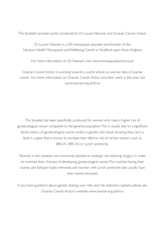This booklet has been jointly produced by Dr Louise Newson and Ovarian Cancer Action.

Dr Louise Newson is a GP, menopause specialist and founder of the Newson Health Menopause and Wellbeing Centre in Stratford-upon-Avon, England.

For more information on Dr Newson visit<www.menopausedoctor.co.uk>

Ovarian Cancer Action is working towards a world where no woman dies of ovarian cancer. For more information on Ovarian Cancer Action and their work in this area visit <www.ovarian.org.uk/brca>

This booklet has been specifically produced for women who have a higher risk of gynaecological cancer compared to the general population. This is usually due to a significant family history of gynaecological cancer and/or a genetic test result showing they carry a fault in a gene that is known to increase their lifetime risk of certain cancers, such as BRCA1, BRCA2 or Lynch syndrome.

Women in this situation are commonly advised to undergo risk-reducing surgery in order to minimise their chances of developing gynaecological cancer. This involves having their ovaries and fallopian tubes removed, and women with Lynch syndrome also usually have their womb removed.

If you have questions about genetic testing, your risks and risk-reduction options, please see Ovarian Cancer Action's website<www.ovarian.org.uk/brca>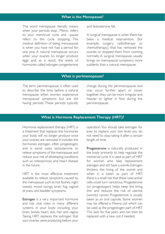#### **What is the Menopause?**

The word menopause literally means when your periods stop. Meno- refers to your menstrual cycle and –pause refers to the cycle stopping. The medical definition of being menopausal is when you have not had a period for one year. A natural menopause occurs when your ovaries no longer produce eggs and, as a result, the levels of hormones called estrogen, progesterone

and testosterone fall.

A 'surgical' menopause is when there has been a medical intervention, (for example, surgery, radiotherapy or chemotherapy), that has removed the ovaries or stopped them from working normally. A surgical menopause usually brings on menopausal symptoms more suddenly than a natural menopause.

#### **What is perimenopause?**

The term perimenopause is often used to describe the time before a natural menopause when women experience menopausal symptoms but are still having periods. These periods typically

change during the perimenopause and may occur further apart or closer together; they can be more irregular and heavier or lighter in flow during the perimenopause.

#### **What is Hormone Replacement Therapy (HRT)?**

Hormone replacement therapy (HRT) is a treatment that replaces the hormones your body will no longer produce once your ovaries are removed. It includes the hormones estrogen, often progestogen, and in some cases testosterone, to relieve symptoms of the menopause and reduce your risk of developing conditions such as osteoporosis and heart disease in the future.

HRT is the most effective treatment available to relieve symptoms caused by the menopause such as hot flushes, night sweats, mood swings, brain fog, vaginal dryness and bladder symptoms.

Estrogen is a very important hormone and has vital roles in many different systems in your body including your brain, bones, heart, skin, hair and vagina. Taking HRT replaces the estrogen that your ovaries were producing before your

operation. You should take estrogen for ever to replace your low level; you do not need to stop taking it after a certain length of time.

Progesterone is naturally produced in the body primarily to help regulate the menstrual cycle. It is used as part of HRT for women who take replacement estrogen and still have a womb. Estrogen thickens the lining of the womb and when it is taken as part of HRT, there is a small risk that these 'over-active' cells could turn cancerous. Progesterone (or progestogen) helps keep the lining thin and reduces the risk of uterine (womb) cancer. Progesterone is usually taken as an oral capsule. Some women may be offered a Mirena coil which can be used as the progestogen part of HRT. This lasts for five years and can then be replaced with a new coil if needed.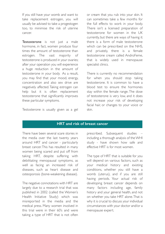If you still have your womb and want to take replacement estrogen, you will usually be advised to take a progestogen too, to minimise the risk of uterine cancer.

Testosterone is not just a male hormone, in fact, women produce four times the amount of testosterone than estrogen. The vast majority of testosterone is produced in your ovaries; after your operation you will experience a huge reduction in the amount of testosterone in your body. As a result, you may find that your mood, energy, concentration and also sex drive are negatively affected. Taking estrogen can help but it is often replacement testosterone that significantly improves these particular symptoms.

or cream that you rub into your skin. It can sometimes take a few months for the full effects to work in your body. There isn't a licensed preparation of testosterone for women in the UK currently, but there are ways of having it: there is a form of male testosterone which can be prescribed on the NHS, and privately, there is a female testosterone cream called AndroFeme, that is widely used in menopause specialist clinics.

There is currently no recommendation for when you should stop taking testosterone. It is common to have a blood test to ensure the hormones stay within the female range. The dose of testosterone is very low, and it does not increase your risk of developing facial hair, or changes to your voice or skin.

Testosterone is usually given as a gel

#### **HRT and risk of breast cancer**

There have been several scare stories in the media over the last twenty years around HRT and cancer - particularly breast cancer. This has resulted in many women being scared and put off from taking HRT, despite suffering with debilitating menopausal symptoms, as well as facing an increased risk of diseases, such as heart disease and osteoporosis (bone-weakening disease).

The negative connotations with HRT are largely due to a research trial that was published in 2002 (called the Women's Health Initiative Study) which was misreported in the media and the medical press. Many women involved in this trial were in their 60's and were taking a type of HRT that is not often prescribed. Subsequent studies – including a thorough analysis of the WHI study - have shown how safe and effective HRT is for most women.

The type of HRT that is suitable for you will depend on various factors, such as your medical history and existing conditions, whether you still have a womb (uterus), and if you are still having periods. Your actual risk of developing breast cancer depends on many factors including age, family history and your general health, and not on whether you take HRT alone. That is why it is crucial to discuss your individual circumstances with your doctor and/or a menopause expert.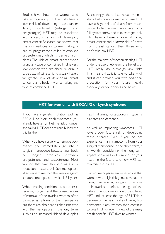Studies have shown that women who take estrogen-only HRT actually have a lower risk of developing breast cancer. Taking combined (estrogen and progestogen) HRT may be associated with a very small risk of developing breast cancer. Research has shown that this risk reduces in women taking a natural progesterone called 'micronised progesterone', which is derived from plants. The risk of breast cancer when taking any type of combined HRT is very low. Women who are obese or drink a large glass of wine a night, actually have a far greater risk of developing breast cancer than a healthy woman taking any type of combined HRT.

Reassuringly, there has never been a study that shows women who take HRT have a higher risk of death from breast cancer. In fact, women who have had a full hysterectomy and take estrogen-only HRT have a **lower** chance of having breast cancer and a **lower** risk of death from breast cancer, than those who don't take any HRT.

For the majority of women starting HRT under the age of 60 years, the benefits of HRT really do outweigh any risks. This means that it is safe to take HRT and it can provide you with additional protection for your future health, especially for your bones and heart.

#### **HRT for women with BRCA1/2 or Lynch syndrome**

If you have a genetic mutation such as BRCA 1 or 2 or Lynch syndrome, you already have a high lifetime risk of cancer and taking HRT does not usually increase this further.

When you have surgery to remove your ovaries, you immediately go into a surgical menopause because your body no longer produces estrogen, progesterone and testosterone. Most women that take this step as a riskreduction measure, will face menopause at an earlier time than the average age of a natural menopause - which is 51 years.

When making decisions around riskreducing surgery and the consequences of removal of the ovaries, women often consider symptoms of the menopause but there are also health risks associated with the menopause in the long term, such as an increased risk of developing heart disease, osteoporosis, type 2 diabetes and dementia.

As well as improving symptoms, HRT lowers your future risk of developing these diseases. Even if you do not experience many symptoms from your surgical menopause in the short term, it is worth considering the long-term impact of having low hormones on your health in the future, and how HRT can minimise these risks.

Current menopause guidelines advise that women with high-risk genetic mutations having risk-reducing surgery to remove their ovaries - before the age of the natural menopause - should be offered HRT until at least the age of 51. This is because of the health risks of having low hormones. Many women then continue to take HRT for ever in view of the many health benefits HRT gives to women.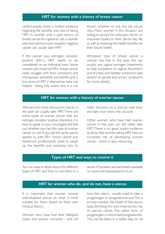#### **HRT for women with a history of breast cancer**

Unfortunately, there is limited evidence regarding the benefits and risks of taking HRT in women with a past history of breast cancer. As a general rule, a woman who has had hormone receptor negative cancer can usually take HRT.

If the cancer was estrogen receptor positive (ER+), HRT needs to be considered on an individual basis. Some women who have had ER+ breast cancer really struggle with their symptoms and menopause specialists sometimes give a low dose of HRT if alternatives have not helped - being fully aware that it is not known whether or not this has future risks. Many women in this situation are willing to accept this unknown risk for an improved quality to their day-to-day life, as well as receiving the health benefits for their future health.

Whatever type of breast cancer a woman has had in the past, she can usually use vaginal estrogen treatments to help symptoms of vaginal discomfort and dryness, and bladder symptoms (see section on genital and urinary symptoms for more details).

#### **HRT for women with a history of ovarian cancer**

Women who have had ovarian cancer in the past can usually take HRT. There are some types of ovarian cancer that are estrogen receptor positive, therefore, it is best to speak to your oncologist and find out whether you had this type of ovarian cancer or not. If you did, the same advice applies as with ER+ breast cancer and healthcare professionals need to weigh up the benefits and potential risks to

make decisions on a case-by-case basis and take your views into account.

Other women who have had ovarian cancer in the past can still safely take HRT. There is no good quality evidence to show that women taking HRT have an increased risk of developing ovarian cancer - which is very reassuring.

#### **Types of HRT and ways to receive it**

You can read in detail about the different types of HRT, and how to use them in a series of booklets and factsheets available o[n www.menopausedoctor.co.uk](www.menopausedoctor.co.uk) 

#### **HRT for women who do, and do not, have a uterus**

It is important that woman receive individualised advice on what is most suitable for them, based on their own medical history.

Women who have had their fallopian tubes and ovaries removed - and *still* *have their uterus* - usually need to take a progestogen or progesterone too. This is to help maintain the health of the uterus, keep the lining thin and minimise the risk of uterine cancer. The safest form of progestogen is 'micronised progesterone'. This can be taken in a tablet daily, or via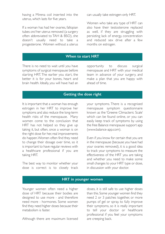having a Mirena coil inserted into the uterus, which lasts for five years.

If a woman has had her ovaries, fallopian tubes *and* her uterus removed (a surgery often abbreviated to TAH & BSO), she doesn't usually need to take a progesterone. Women without a uterus

can usually take estrogen-only HRT.

Women who take any type of HRT can also have their testosterone replaced as well, if they are struggling with persisting lack of energy, concentration and reduced sex drive after a few months on estrogen.

#### **When to start HRT**

There is no need to wait until you have symptoms of surgical menopause before starting HRT. The earlier you start, the better it is for your bones, heart and brain health. Ideally, you will have had an

opportunity to discuss surgical menopause and HRT with your medical team in advance of your surgery, and make a plan that you are happy with ahead of time.

#### **Getting the dose right**

It is important that a woman has enough estrogen in her HRT to improve her symptoms and also reduce the long-term health risks of the menopause. Many women come to the conclusion that HRT has not helped so they give up taking it, but often, once a woman is on the right dose for her, real improvements do happen. Women often find they need to change their dosage over time, so it is important to have regular reviews with a healthcare professional if you are taking HRT.

The best way to monitor whether your dose is correct is to closely track your symptoms. There is a recognised menopause symptom questionnaire known as the 'Greene Climacteric Scale' which can be found online, or you can easily keep track of symptoms by using the free Balance menopause support app [\(www.balance-app.com\).](https://balance-app.com/) 

Even if you know for certain that you are in the menopause (because you have had your ovaries removed), it is a good idea to track your symptoms to measure the effectiveness of the HRT you are taking and whether you need to make some small changes to your HRT type or dose, in discussion with your doctor.

#### **HRT in younger women**

Younger women often need a higher dose of HRT because their bodies are designed to use more - and therefore need more - hormones. Some women find they need higher doses because their metabolism is faster.

Although there are maximum licensed

doses, it is still safe to use higher doses than this. Some younger women find they need 2 or 3 patches together, or more pumps of gel or spray, to fully improve their symptoms, so it is really important to tell your doctor or healthcare professional if you feel your symptoms are creeping back.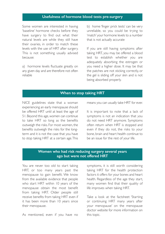#### **Usefulness of hormone blood tests pre-surgery**

Some women are interested in having 'baseline' hormone checks before they have surgery to find out what their natural levels are while they still have their ovaries, in order to match these levels with the use of HRT after surgery. This is not something usually advised because:

a) hormone levels fluctuate greatly on any given day and are therefore not often reliable

b) home 'finger prick tests' can be very unreliable, so you could be trying to 'match' your hormone levels to a number that is not actually accurate

If you are still having symptoms after taking HRT, you may be offered a blood test to establish whether you are adequately absorbing the estrogen or you need a higher dose. It may be that the patches are not sticking correctly, or the gel is sliding off your skin and is not being absorbed properly.

#### **When to stop taking HRT**

NICE guidelines state that a woman experiencing an early menopause should be offered HRT until at least the age of 51. Beyond this age, women can continue to take HRT so long as the benefits outweigh the risks. For most women, the benefits outweigh the risks for the longterm and it is not the case that you have to stop taking HRT at a certain age. This

means you can usually take HRT for ever.

It is important to note that a lack of symptoms is not an indication that you do not need HRT anymore. Symptoms often return when HRT is stopped and even if they do not, the risks to your bone, brain and heart health continue to be an issue for the rest of your life.

#### **Women who had risk reducing surgery several years ago but were not offered HRT**

You are never too old to start taking HRT, or too many years past the menopause to gain benefit. We know from the available evidence that people who start HRT within 10 years of the menopause obtain the most benefit from taking HRT. Older people still receive benefits from taking HRT even if it has been more than 10 years since their menopause.

As mentioned, even if you have no

symptoms, it is still worth considering taking HRT for the health protection factors it offers for your bones and heart health. Regardless of the age they start, many women find that their quality of life improves when taking HRT.

Take a look at the factsheet 'Starting or continuing HRT many years after your menopause' on the menopause doctor website for more information on this topic.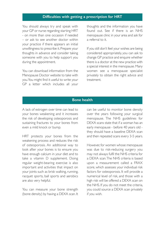#### **Difficulties with getting a prescription for HRT**

You should always try and speak with your GP or nurse regarding starting HRT - on more than one occasion if needed – or ask to see another doctor within your practice if there appears an initial unwillingness to prescribe it. Prepare your thoughts in advance and consider taking someone with you to help support you during the appointment.

You can download information from the Menopause Doctor website to take with you. You might find it useful to write your GP a letter which includes all your thoughts and the information you have found out. See if there is an NHS menopause clinic in your area and ask for a referral to it.

If you still don't feel your wishes are being considered appropriately, you can ask to change GP practice and enquire whether there is a doctor at the new practice with a special interest in the menopause. Many women see a menopause specialist privately to obtain the right advice and treatment.

#### **Bone health**

A lack of estrogen over time can lead to your bones weakening and it increases the risk of developing osteoporosis and sustaining fractures to your bones from even a mild knock or bump.

HRT protects your bones from the weakening process and reduces the risk of osteoporosis. An additional way to look after your bones is to ensure you have enough calcium in your diet and to take a vitamin D supplement. Doing regular weight-bearing exercise is also important and activities that impact on your joints such as brisk walking, running, racquet sports, ball sports and aerobics are also very helpful.

You can measure your bone strength (bone density) by having a DEXA scan. It can be useful to monitor bone density over the years following your surgical menopause. The NHS guidelines for DEXA scans state that if a woman has an early menopause - before 40 years old they should have a baseline DEXA scan and then repeated scans every 3-5 years.

However, for women whose menopause was due to risk-reducing surgery you may not always fulfil the NHS criteria for a DEXA scan. The NHS criteria is based upon a measurement called a FRAX score, which assesses your individual risk factors for osteoporosis. It will provide a numerical level of risk, and those with a high risk will be offered a DEXA scan on the NHS. If you do not meet the criteria, you could source a DEXA scan privately if you wish.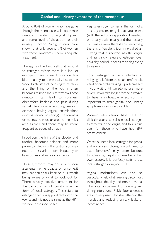#### **Genital and urinary symptoms of the menopause**

Around 80% of women who have gone through the menopause will experience symptoms related to vaginal dryness, and some level of disruption to their urinary function. Sadly, studies have shown that only around 7% of women with these symptoms receive adequate treatment.

The vagina is lined with cells that respond to estrogen. When there is a lack of estrogen, there is less lubrication, less blood supply to these cells, less of the 'good bacteria' that helps fight infection, and the lining of the vagina often becomes thinner and less stretchy. These symptoms can lead to soreness, discomfort, itchiness and pain during sexual intercourse, when using tampons, or when having vaginal examinations (such as cervical screening). The soreness or itchiness can occur around the vulva area as well and there may be more frequent episodes of thrush.

In addition, the lining of the bladder and urethra becomes thinner and more prone to infections like cystitis; you may need to pass urine more frequently or have occasional leaks or accidents.

These symptoms may occur very soon after entering menopause, or for some, it may happen years later, so it is worth being aware of what to look out for. There is very effective treatment for this particular set of symptoms in the form of 'local' estrogen. This refers to estrogen that you apply directly into the vagina and it is not the same as the HRT we have described so far.

Vaginal estrogen comes in the form of a pessary, cream, or gel that you insert (with the aid of an applicator if needed) on a daily basis initially, and then usually 2-3 times a week thereafter. Alternatively, there is a flexible, silicon ring called an 'Estring' that is inserted into the vagina and has a slow release of estrogen over a 90-day period; it needs replacing every three months.

Local estrogen is very effective at bringing relief from these uncomfortable - and often embarrassing – problems but if you wait until symptoms are more severe, it will take longer for the estrogen to have a noticeable effect, so it is important to treat genital and urinary symptoms as soon as possible.

Women who cannot have HRT for clinical reasons can still use local estrogen treatments in the vagina, and this is true even for those who have had ER+ breast cancer.

Once you need local estrogen for genital and urinary symptoms, you will need to use it forever. When symptoms become troublesome, they do not resolve of their own accord. It is perfectly safe to use local estrogen alongside HRT.

Vaginal moisturisers can also be particularly helpful at relieving discomfort throughout the day and non-hormonal lubricants can be useful for relieving pain during intercourse. Pelvic floor exercises are also very useful for strengthening the muscles and reducing urinary leaks or incontinence.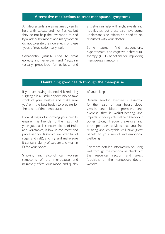#### **Alternative medications to treat menopausal symptoms**

Antidepressants are sometimes given to help with sweats and hot flushes, but they do not help the low mood caused by a lack of hormones and many women do not tolerate the side effects of these types of medication very well.

Gabapentin (usually used to treat epilepsy and nerve pain) and Pregabalin (usually prescribed for epilepsy and anxiety) can help with night sweats and hot flushes, but these also have some unpleasant side effects so need to be discussed with your doctor.

Some women find acupuncture, hypnotherapy and cognitive behavioural therapy (CBT) beneficial for improving menopausal symptoms.

#### **Maintaining good health through the menopause**

If you are having planned risk-reducing surgery, it is a useful opportunity to take stock of your lifestyle and make sure you're in the best health to prepare for the onset of the menopause.

Look at ways of improving your diet to ensure it is friendly to the health of your gut, that it contains plenty of fruits and vegetables, is low in red meat and processed foods (which are often full of sugar and salt), and try and make sure it contains plenty of calcium and vitamin D for your bones.

Smoking and alcohol can worsen symptoms of the menopause and negatively affect your mood and quality of your sleep.

Regular aerobic exercise is essential for the health of your heart, blood vessels, and blood pressure, and exercise that is weight-bearing and impacts on your joints will help keep your bones strong. Frequent exercise and time spent on activities that you find relaxing and enjoyable will have great benefit to your mood and emotional wellbeing.

For more detailed information on living well through the menopause check out the resources section and select 'booklets' on the menopause doctor website.